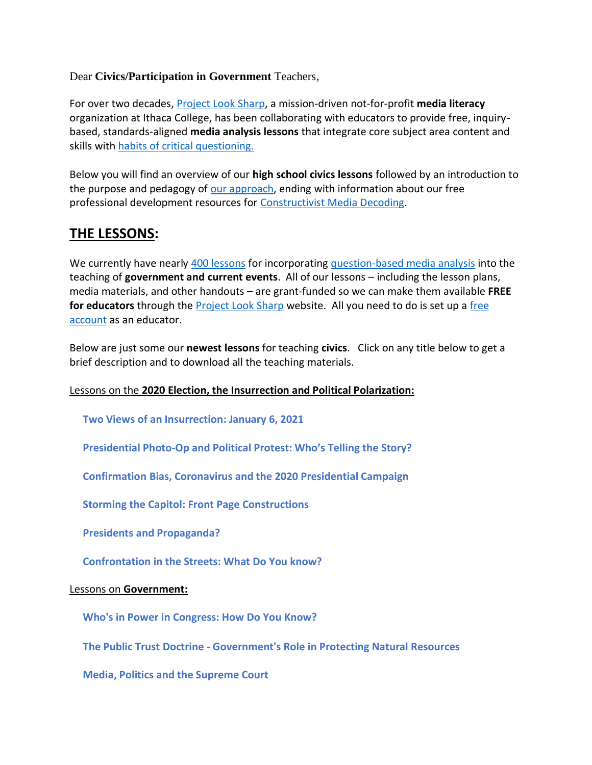Dear **Civics/Participation in Government** Teachers,

For over two decades, [Project Look Sharp,](https://www.projectlooksharp.org/) a mission-driven not-for-profit **media literacy** organization at Ithaca College, has been collaborating with educators to provide free, inquirybased, standards-aligned **media analysis lessons** that integrate core subject area content and skills with [habits of critical questioning.](https://projectlooksharp.org/Resources%202/Key-Questions-for-Decoding%20Dec-21.pdf)

Below you will find an overview of our **high school civics lessons** followed by an introduction to the purpose and pedagogy of [our approach,](https://projectlooksharp.org/our-approach.php) ending with information about our free professional development resources for [Constructivist Media Decoding.](https://projectlooksharp.org/our-approach.php#Constructivist)

## **THE LESSONS:**

We currently have nearly [400 lessons](https://www.projectlooksharp.org/search-result.php?limit=10&search%5Bkeyword%5D=&search%5Bcategory%5D=lessons&search_filter%5Bresource_subject_area%5D%5B%5D=economics&search_filter%5Bresource_subject_area%5D%5B%5D=sociology&search_filter%5Bresource_subject_area%5D%5B%5D=us+history+and+government&search_filter%5Bresource_grade_level%5D%5B%5D=high+school&search_filter%5Bresource_grade_level%5D%5B%5D=college) for incorporating [question-based media analysis](https://projectlooksharp.org/our-approach.php#Constructivist) into the teaching of **government and current events**. All of our lessons – including the lesson plans, media materials, and other handouts – are grant-funded so we can make them available **FREE for educators** through the [Project Look Sharp](https://projectlooksharp.org/index.php) website. All you need to do is set up a [free](https://projectlooksharp.org/register.php)  [account](https://projectlooksharp.org/register.php) as an educator.

Below are just some our **newest lessons** for teaching **civics**. Click on any title below to get a brief description and to download all the teaching materials.

### Lessons on the **2020 Election, the Insurrection and Political Polarization:**

**Two Views of an [Insurrection:](https://www.projectlooksharp.org/front_end_resource.php?resource_id=553) January 6, 2021**

 **[Presidential](https://www.projectlooksharp.org/front_end_resource.php?resource_id=527) Photo-Op and Political Protest: Who's Telling the Story?**

 **[Confirmation](https://www.projectlooksharp.org/front_end_resource.php?resource_id=520) Bias, Coronavirus and the 2020 Presidential Campaign**

 **Storming the Capitol: Front Page [Constructions](https://www.projectlooksharp.org/front_end_resource.php?resource_id=551)**

 **Presidents and [Propaganda?](https://www.projectlooksharp.org/front_end_resource.php?resource_id=563)**

 **[Confrontation](https://www.projectlooksharp.org/front_end_resource.php?resource_id=462) in the Streets: What Do You know?**

#### Lessons on **Government:**

 **Who's in Power in [Congress:](https://www.projectlooksharp.org/front_end_resource.php?resource_id=454) How Do You Know?**

 **The Public Trust Doctrine - [Government's](https://www.projectlooksharp.org/front_end_resource.php?resource_id=417) Role in Protecting Natural Resources**

 **Media, Politics and the [Supreme](https://www.projectlooksharp.org/front_end_resource.php?resource_id=536) Court**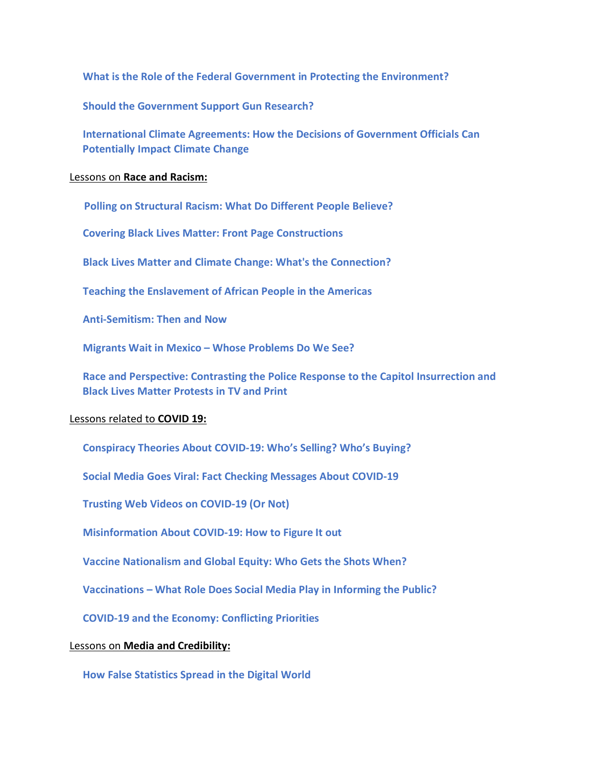**What is the Role of the Federal Government in Protecting the [Environment?](https://www.projectlooksharp.org/front_end_resource.php?resource_id=405)**

 **Should the [Government](https://www.projectlooksharp.org/front_end_resource.php?resource_id=566) Support Gun Research?**

 **[International](https://www.projectlooksharp.org/front_end_resource.php?resource_id=414) Climate Agreements: How the Decisions of Government Officials Can [Potentially](https://www.projectlooksharp.org/front_end_resource.php?resource_id=414) Impact Climate Change**

#### Lessons on **Race and Racism:**

 **Polling on [Structural](https://www.projectlooksharp.org/front_end_resource.php?resource_id=561) Racism: What Do Different People Believe?**

 **Covering Black Lives Matter: Front Page [Constructions](https://www.projectlooksharp.org/front_end_resource.php?resource_id=526)**

 **Black Lives Matter and Climate Change: What's the [Connection?](https://www.projectlooksharp.org/front_end_resource.php?resource_id=426)**

 **Teaching the [Enslavement](https://www.projectlooksharp.org/front_end_resource.php?resource_id=496) of African People in the Americas**

 **[Anti-Semitism:](https://www.projectlooksharp.org/front_end_resource.php?resource_id=448) Then and Now**

 **[Migrants](https://www.projectlooksharp.org/front_end_resource.php?resource_id=485) Wait in Mexico – Whose Problems Do We See?**

 **Race and [Perspective:](https://www.projectlooksharp.org/front_end_resource.php?resource_id=554) Contrasting the Police Response to the Capitol Insurrection and Black Lives Matter [Protests](https://www.projectlooksharp.org/front_end_resource.php?resource_id=554) in TV and Print**

#### Lessons related to **COVID 19:**

 **[Conspiracy](https://www.projectlooksharp.org/front_end_resource.php?resource_id=523) Theories About COVID-19: Who's Selling? Who's Buying?**

 **Social Media Goes Viral: Fact Checking [Messages](https://www.projectlooksharp.org/front_end_resource.php?resource_id=503) About COVID-19**

 **Trusting Web Videos on [COVID-19](https://www.projectlooksharp.org/front_end_resource.php?resource_id=506) (Or Not)**

 **[Misinformation](https://www.projectlooksharp.org/front_end_resource.php?resource_id=501) About COVID-19: How to Figure It out**

 **Vaccine [Nationalism](https://www.projectlooksharp.org/front_end_resource.php?resource_id=557) and Global Equity: Who Gets the Shots When?** 

 **[Vaccinations](https://www.projectlooksharp.org/front_end_resource.php?resource_id=488) – What Role Does Social Media Play in Informing the Public?**

 **COVID-19 and the Economy: [Conflicting](https://www.projectlooksharp.org/front_end_resource.php?resource_id=509) Priorities**

#### Lessons on **Media and Credibility:**

 **How False [Statistics](https://www.projectlooksharp.org/front_end_resource.php?resource_id=466) Spread in the Digital World**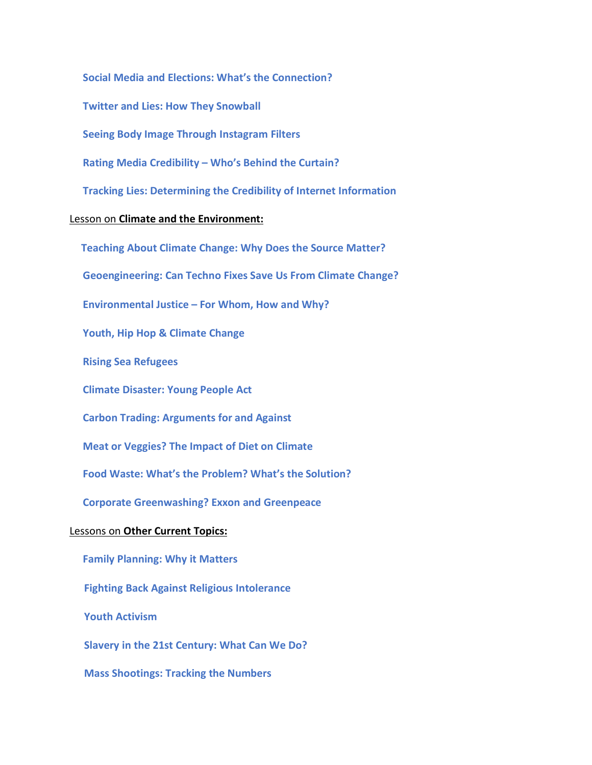**Social Media and Elections: What's the [Connection?](https://www.projectlooksharp.org/front_end_resource.php?resource_id=497)**

 **Twitter and Lies: How They [Snowball](https://www.projectlooksharp.org/front_end_resource.php?resource_id=468)**

 **Seeing Body Image Through [Instagram](https://www.projectlooksharp.org/front_end_resource.php?resource_id=489) Filters**

 **Rating Media [Credibility](https://www.projectlooksharp.org/front_end_resource.php?resource_id=477) – Who's Behind the Curtain?**

 **Tracking Lies: [Determining](https://www.projectlooksharp.org/front_end_resource.php?resource_id=449) the Credibility of Internet Information**

#### Lesson on **Climate and the Environment:**

 **[Teaching](https://www.projectlooksharp.org/front_end_resource.php?resource_id=416) About Climate Change: Why Does the Source Matter? [Geoengineering:](https://www.projectlooksharp.org/front_end_resource.php?resource_id=421) Can Techno Fixes Save Us From Climate Change? [Environmental](https://www.projectlooksharp.org/front_end_resource.php?resource_id=476) Justice – For Whom, How and Why? Youth, Hip Hop & [Climate](https://www.projectlooksharp.org/front_end_resource.php?resource_id=425) Change Rising Sea [Refugees](https://www.projectlooksharp.org/front_end_resource.php?resource_id=424) Climate [Disaster:](https://www.projectlooksharp.org/front_end_resource.php?resource_id=471) Young People Act Carbon Trading: [Arguments](https://www.projectlooksharp.org/front_end_resource.php?resource_id=419) for and Against Meat or [Veggies?](https://www.projectlooksharp.org/front_end_resource.php?resource_id=492) The Impact of Diet on Climate Food Waste: What's the [Problem?](https://www.projectlooksharp.org/front_end_resource.php?resource_id=493) What's the Solution? Corporate [Greenwashing?](https://www.projectlooksharp.org/front_end_resource.php?resource_id=429) Exxon and Greenpeace** Lessons on **Other Current Topics: Family [Planning:](https://www.projectlooksharp.org/front_end_resource.php?resource_id=446) Why it Matters Fighting Back Against Religious [Intolerance](https://www.projectlooksharp.org/front_end_resource.php?resource_id=524)**

 **Youth [Activism](https://www.projectlooksharp.org/front_end_resource.php?resource_id=148)**

 **Slavery in the 21st [Century:](https://www.projectlooksharp.org/front_end_resource.php?resource_id=499) What Can We Do?**

 **Mass [Shootings:](https://www.projectlooksharp.org/front_end_resource.php?resource_id=456) Tracking the Numbers**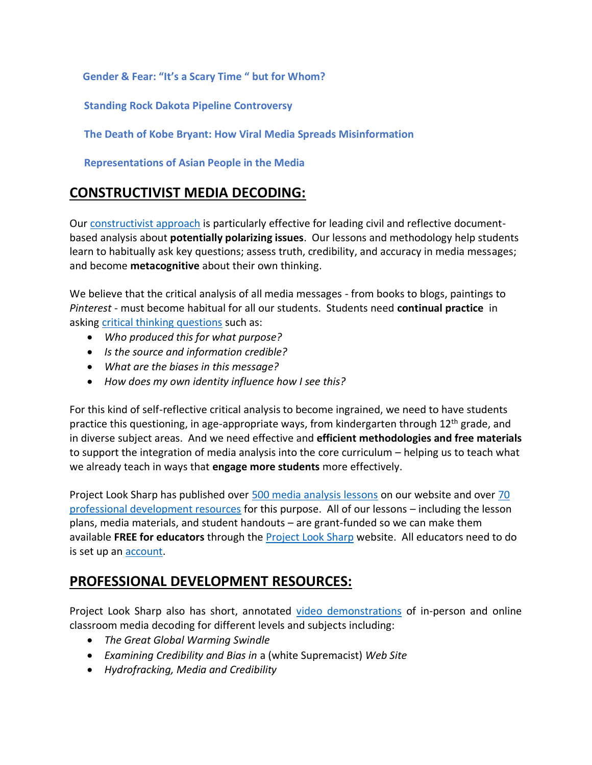**[Gender](https://www.projectlooksharp.org/front_end_resource.php?resource_id=445) & Fear: "It's a Scary Time " but for Whom?**

 **Standing Rock Dakota Pipeline [Controversy](https://www.projectlooksharp.org/front_end_resource.php?resource_id=407)**

 **The Death of Kobe Bryant: How Viral Media Spreads [Misinformation](https://www.projectlooksharp.org/front_end_resource.php?resource_id=521)**

 **[Representations](https://www.projectlooksharp.org/front_end_resource.php?resource_id=560) of Asian People in the Media**

# **CONSTRUCTIVIST MEDIA DECODING:**

Our [constructivist approach](https://projectlooksharp.org/our-approach.php) is particularly effective for leading civil and reflective documentbased analysis about **potentially polarizing issues**. Our lessons and methodology help students learn to habitually ask key questions; assess truth, credibility, and accuracy in media messages; and become **metacognitive** about their own thinking.

We believe that the critical analysis of all media messages - from books to blogs, paintings to *Pinterest* - must become habitual for all our students. Students need **continual practice** in asking [critical thinking questions](https://projectlooksharp.org/Resources%202/Project%20Look%20Sharp%20Key%20Questions%20Both.pdf) such as:

- *Who produced this for what purpose?*
- *Is the source and information credible?*
- *What are the biases in this message?*
- *How does my own identity influence how I see this?*

For this kind of self-reflective critical analysis to become ingrained, we need to have students practice this questioning, in age-appropriate ways, from kindergarten through 12<sup>th</sup> grade, and in diverse subject areas. And we need effective and **efficient methodologies and free materials** to support the integration of media analysis into the core curriculum – helping us to teach what we already teach in ways that **engage more students** more effectively.

Project Look Sharp has published over [500 media analysis lessons](https://www.projectlooksharp.org/search-result.php?search%5Bkeyword%5D=&search%5Bcategory%5D=lessons) on our website and over [70](https://www.projectlooksharp.org/search-result.php?search%5Bkeyword%5D=&search%5Bcategory%5D=PD)  [professional development resources](https://www.projectlooksharp.org/search-result.php?search%5Bkeyword%5D=&search%5Bcategory%5D=PD) for this purpose. All of our lessons – including the lesson plans, media materials, and student handouts – are grant-funded so we can make them available **FREE for educators** through the [Project Look Sharp](https://projectlooksharp.org/index.php) website. All educators need to do is set up a[n account.](https://projectlooksharp.org/register.php)

### **PROFESSIONAL DEVELOPMENT RESOURCES:**

Project Look Sharp also has short, annotated [video demonstrations](https://projectlooksharp.org/our-approach.php#videos) of in-person and online classroom media decoding for different levels and subjects including:

- *The Great Global Warming Swindle*
- *Examining Credibility and Bias in* a (white Supremacist) *Web Site*
- *Hydrofracking, Media and Credibility*